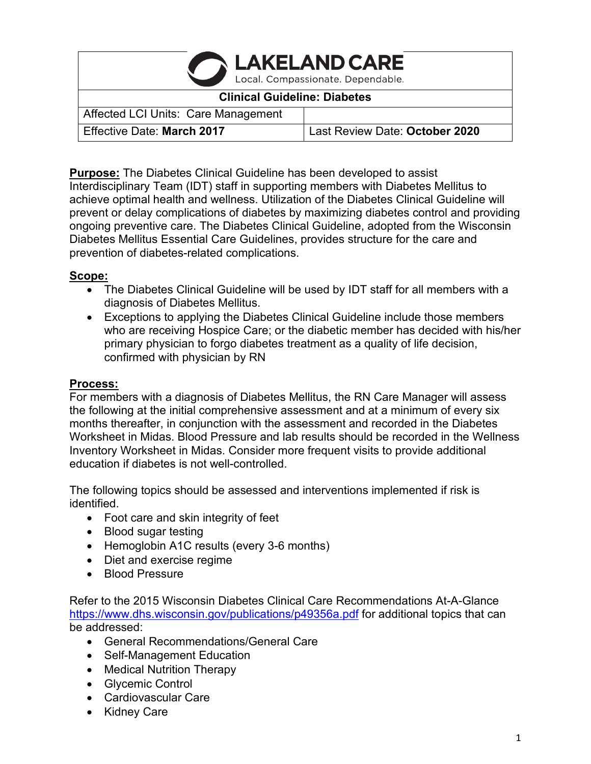| <b>CAKELAND CARE</b>                |                                |
|-------------------------------------|--------------------------------|
| <b>Clinical Guideline: Diabetes</b> |                                |
| Affected LCI Units: Care Management |                                |
| Effective Date: March 2017          | Last Review Date: October 2020 |

**Purpose:** The Diabetes Clinical Guideline has been developed to assist Interdisciplinary Team (IDT) staff in supporting members with Diabetes Mellitus to achieve optimal health and wellness. Utilization of the Diabetes Clinical Guideline will prevent or delay complications of diabetes by maximizing diabetes control and providing ongoing preventive care. The Diabetes Clinical Guideline, adopted from the Wisconsin Diabetes Mellitus Essential Care Guidelines, provides structure for the care and prevention of diabetes-related complications.

### **Scope:**

- The Diabetes Clinical Guideline will be used by IDT staff for all members with a diagnosis of Diabetes Mellitus.
- Exceptions to applying the Diabetes Clinical Guideline include those members who are receiving Hospice Care; or the diabetic member has decided with his/her primary physician to forgo diabetes treatment as a quality of life decision, confirmed with physician by RN

#### **Process:**

For members with a diagnosis of Diabetes Mellitus, the RN Care Manager will assess the following at the initial comprehensive assessment and at a minimum of every six months thereafter, in conjunction with the assessment and recorded in the Diabetes Worksheet in Midas. Blood Pressure and lab results should be recorded in the Wellness Inventory Worksheet in Midas. Consider more frequent visits to provide additional education if diabetes is not well-controlled.

The following topics should be assessed and interventions implemented if risk is identified.

- Foot care and skin integrity of feet
- Blood sugar testing
- Hemoglobin A1C results (every 3-6 months)
- Diet and exercise regime
- Blood Pressure

Refer to the 2015 Wisconsin Diabetes Clinical Care Recommendations At-A-Glance <https://www.dhs.wisconsin.gov/publications/p49356a.pdf> for additional topics that can be addressed:

- General Recommendations/General Care
- Self-Management Education
- Medical Nutrition Therapy
- Glycemic Control
- Cardiovascular Care
- Kidney Care